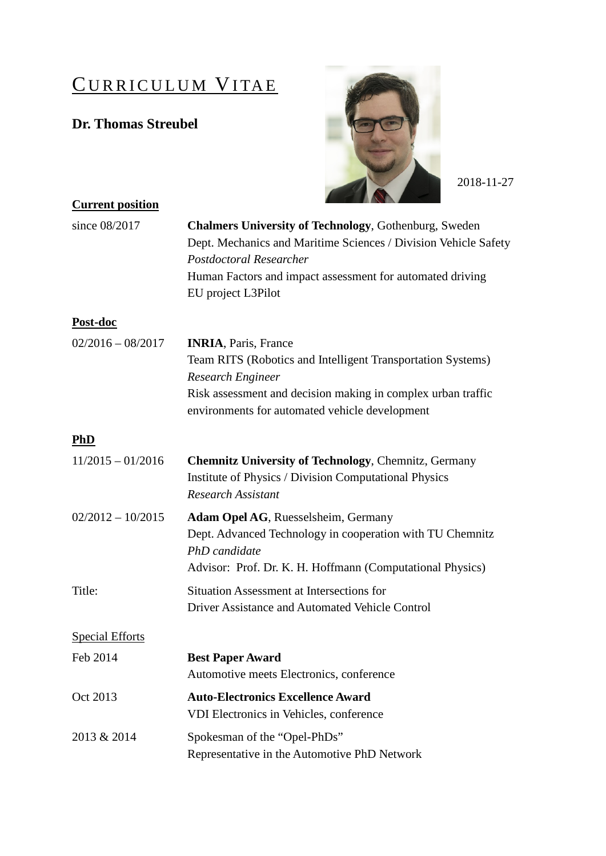# CURRICULUM VITAE

## **Dr. Thomas Streubel**



2018-11-27

| <b>Current position</b> |                                                                                                                                                                                |
|-------------------------|--------------------------------------------------------------------------------------------------------------------------------------------------------------------------------|
| since 08/2017           | <b>Chalmers University of Technology, Gothenburg, Sweden</b><br>Dept. Mechanics and Maritime Sciences / Division Vehicle Safety<br>Postdoctoral Researcher                     |
|                         | Human Factors and impact assessment for automated driving<br>EU project L3Pilot                                                                                                |
| Post-doc                |                                                                                                                                                                                |
| $02/2016 - 08/2017$     | <b>INRIA</b> , Paris, France                                                                                                                                                   |
|                         | Team RITS (Robotics and Intelligent Transportation Systems)<br><b>Research Engineer</b>                                                                                        |
|                         | Risk assessment and decision making in complex urban traffic<br>environments for automated vehicle development                                                                 |
| <b>PhD</b>              |                                                                                                                                                                                |
| $11/2015 - 01/2016$     | <b>Chemnitz University of Technology, Chemnitz, Germany</b><br><b>Institute of Physics / Division Computational Physics</b><br><b>Research Assistant</b>                       |
| $02/2012 - 10/2015$     | Adam Opel AG, Ruesselsheim, Germany<br>Dept. Advanced Technology in cooperation with TU Chemnitz<br>PhD candidate<br>Advisor: Prof. Dr. K. H. Hoffmann (Computational Physics) |
| Title:                  | Situation Assessment at Intersections for<br>Driver Assistance and Automated Vehicle Control                                                                                   |
| <b>Special Efforts</b>  |                                                                                                                                                                                |
| Feb 2014                | <b>Best Paper Award</b><br>Automotive meets Electronics, conference                                                                                                            |
| Oct 2013                | <b>Auto-Electronics Excellence Award</b><br>VDI Electronics in Vehicles, conference                                                                                            |
| 2013 & 2014             | Spokesman of the "Opel-PhDs"<br>Representative in the Automotive PhD Network                                                                                                   |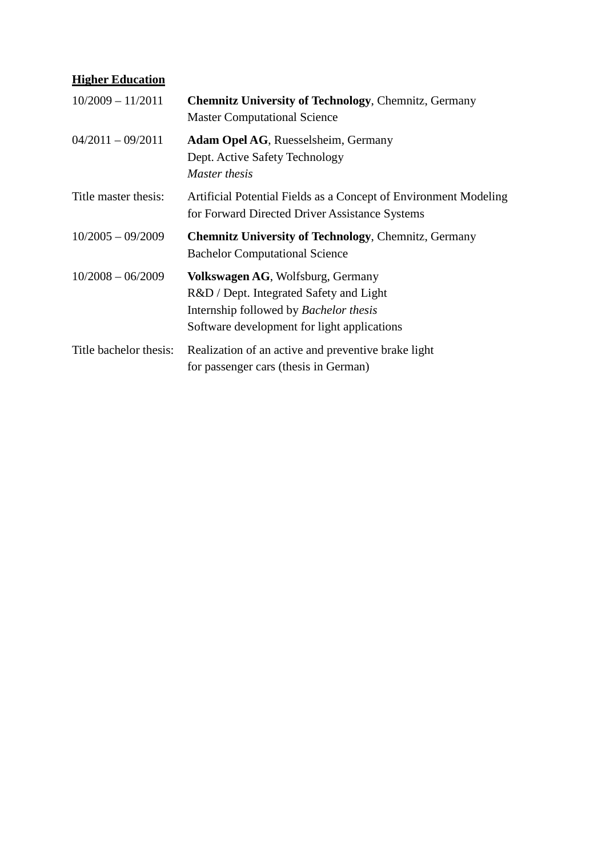### **Higher Education**

| $10/2009 - 11/2011$    | <b>Chemnitz University of Technology, Chemnitz, Germany</b><br><b>Master Computational Science</b>                                                                           |
|------------------------|------------------------------------------------------------------------------------------------------------------------------------------------------------------------------|
| $04/2011 - 09/2011$    | <b>Adam Opel AG, Ruesselsheim, Germany</b><br>Dept. Active Safety Technology<br>Master thesis                                                                                |
| Title master thesis:   | Artificial Potential Fields as a Concept of Environment Modeling<br>for Forward Directed Driver Assistance Systems                                                           |
| $10/2005 - 09/2009$    | <b>Chemnitz University of Technology, Chemnitz, Germany</b><br><b>Bachelor Computational Science</b>                                                                         |
| $10/2008 - 06/2009$    | Volkswagen AG, Wolfsburg, Germany<br>R&D / Dept. Integrated Safety and Light<br>Internship followed by <i>Bachelor thesis</i><br>Software development for light applications |
| Title bachelor thesis: | Realization of an active and preventive brake light<br>for passenger cars (thesis in German)                                                                                 |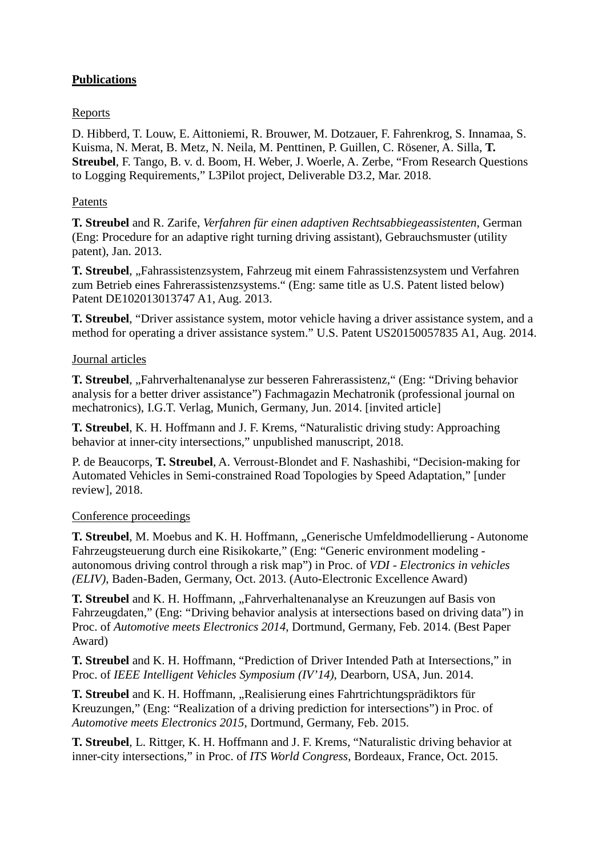#### **Publications**

#### Reports

D. Hibberd, T. Louw, E. Aittoniemi, R. Brouwer, M. Dotzauer, F. Fahrenkrog, S. Innamaa, S. Kuisma, N. Merat, B. Metz, N. Neila, M. Penttinen, P. Guillen, C. Rösener, A. Silla, **T. Streubel**, F. Tango, B. v. d. Boom, H. Weber, J. Woerle, A. Zerbe, "From Research Questions to Logging Requirements," L3Pilot project, Deliverable D3.2, Mar. 2018.

#### Patents

**T. Streubel** and R. Zarife, *Verfahren für einen adaptiven Rechtsabbiegeassistenten*, German (Eng: Procedure for an adaptive right turning driving assistant), Gebrauchsmuster (utility patent), Jan. 2013.

**T. Streubel**, "Fahrassistenzsystem, Fahrzeug mit einem Fahrassistenzsystem und Verfahren zum Betrieb eines Fahrerassistenzsystems." (Eng: same title as U.S. Patent listed below) Patent DE102013013747 A1, Aug. 2013.

**T. Streubel**, "Driver assistance system, motor vehicle having a driver assistance system, and a method for operating a driver assistance system." U.S. Patent US20150057835 A1, Aug. 2014.

#### Journal articles

**T. Streubel**, "Fahrverhaltenanalyse zur besseren Fahrerassistenz," (Eng: "Driving behavior analysis for a better driver assistance") Fachmagazin Mechatronik (professional journal on mechatronics), I.G.T. Verlag, Munich, Germany, Jun. 2014. [invited article]

**T. Streubel**, K. H. Hoffmann and J. F. Krems, "Naturalistic driving study: Approaching behavior at inner-city intersections," unpublished manuscript, 2018.

P. de Beaucorps, **T. Streubel**, A. Verroust-Blondet and F. Nashashibi, "Decision-making for Automated Vehicles in Semi-constrained Road Topologies by Speed Adaptation," [under review], 2018.

#### Conference proceedings

**T. Streubel**, M. Moebus and K. H. Hoffmann, "Generische Umfeldmodellierung - Autonome Fahrzeugsteuerung durch eine Risikokarte," (Eng: "Generic environment modeling autonomous driving control through a risk map") in Proc. of *VDI - Electronics in vehicles (ELIV)*, Baden-Baden, Germany, Oct. 2013. (Auto-Electronic Excellence Award)

**T. Streubel** and K. H. Hoffmann, "Fahrverhaltenanalyse an Kreuzungen auf Basis von Fahrzeugdaten," (Eng: "Driving behavior analysis at intersections based on driving data") in Proc. of *Automotive meets Electronics 2014*, Dortmund, Germany, Feb. 2014. (Best Paper Award)

**T. Streubel** and K. H. Hoffmann, "Prediction of Driver Intended Path at Intersections," in Proc. of *IEEE Intelligent Vehicles Symposium (IV'14)*, Dearborn, USA, Jun. 2014.

**T. Streubel** and K. H. Hoffmann, "Realisierung eines Fahrtrichtungsprädiktors für Kreuzungen," (Eng: "Realization of a driving prediction for intersections") in Proc. of *Automotive meets Electronics 2015*, Dortmund, Germany, Feb. 2015.

**T. Streubel**, L. Rittger, K. H. Hoffmann and J. F. Krems, "Naturalistic driving behavior at inner-city intersections," in Proc. of *ITS World Congress*, Bordeaux, France, Oct. 2015.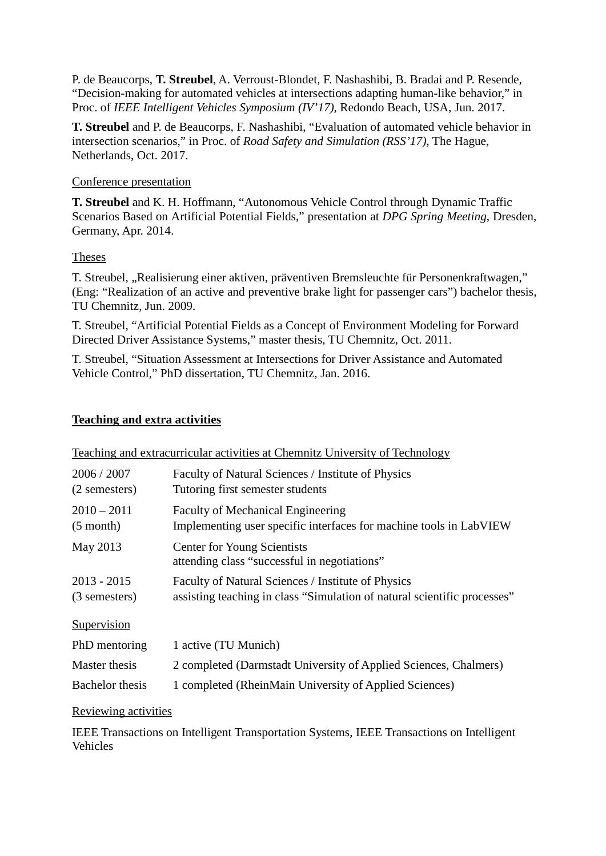P. de Beaucorps, **T. Streubel**, A. Verroust-Blondet, F. Nashashibi, B. Bradai and P. Resende, "Decision-making for automated vehicles at intersections adapting human-like behavior," in Proc. of *IEEE Intelligent Vehicles Symposium (IV'17)*, Redondo Beach, USA, Jun. 2017.

**T. Streubel** and P. de Beaucorps, F. Nashashibi, "Evaluation of automated vehicle behavior in intersection scenarios," in Proc. of *Road Safety and Simulation (RSS'17)*, The Hague, Netherlands, Oct. 2017.

#### Conference presentation

**T. Streubel** and K. H. Hoffmann, "Autonomous Vehicle Control through Dynamic Traffic Scenarios Based on Artificial Potential Fields," presentation at *DPG Spring Meeting*, Dresden, Germany, Apr. 2014.

#### Theses

T. Streubel, "Realisierung einer aktiven, präventiven Bremsleuchte für Personenkraftwagen," (Eng: "Realization of an active and preventive brake light for passenger cars") bachelor thesis, TU Chemnitz, Jun. 2009.

T. Streubel, "Artificial Potential Fields as a Concept of Environment Modeling for Forward Directed Driver Assistance Systems," master thesis, TU Chemnitz, Oct. 2011.

T. Streubel, "Situation Assessment at Intersections for Driver Assistance and Automated Vehicle Control," PhD dissertation, TU Chemnitz, Jan. 2016.

#### **Teaching and extra activities**

|                                | Teaching and extractificular activities at Cheminitz University of Technology                                                  |
|--------------------------------|--------------------------------------------------------------------------------------------------------------------------------|
| 2006 / 2007<br>(2 semesters)   | Faculty of Natural Sciences / Institute of Physics<br>Tutoring first semester students                                         |
| $2010 - 2011$<br>$(5$ month)   | <b>Faculty of Mechanical Engineering</b><br>Implementing user specific interfaces for machine tools in LabVIEW                 |
| May 2013                       | Center for Young Scientists<br>attending class "successful in negotiations"                                                    |
| $2013 - 2015$<br>(3 semesters) | Faculty of Natural Sciences / Institute of Physics<br>assisting teaching in class "Simulation of natural scientific processes" |
| Supervision                    |                                                                                                                                |
| PhD mentoring                  | 1 active (TU Munich)                                                                                                           |
| Master thesis                  | 2 completed (Darmstadt University of Applied Sciences, Chalmers)                                                               |
| Bachelor thesis                | 1 completed (RheinMain University of Applied Sciences)                                                                         |

Teaching and extracurricular activities at Chemnitz University of Technology

#### Reviewing activities

IEEE Transactions on Intelligent Transportation Systems, IEEE Transactions on Intelligent Vehicles